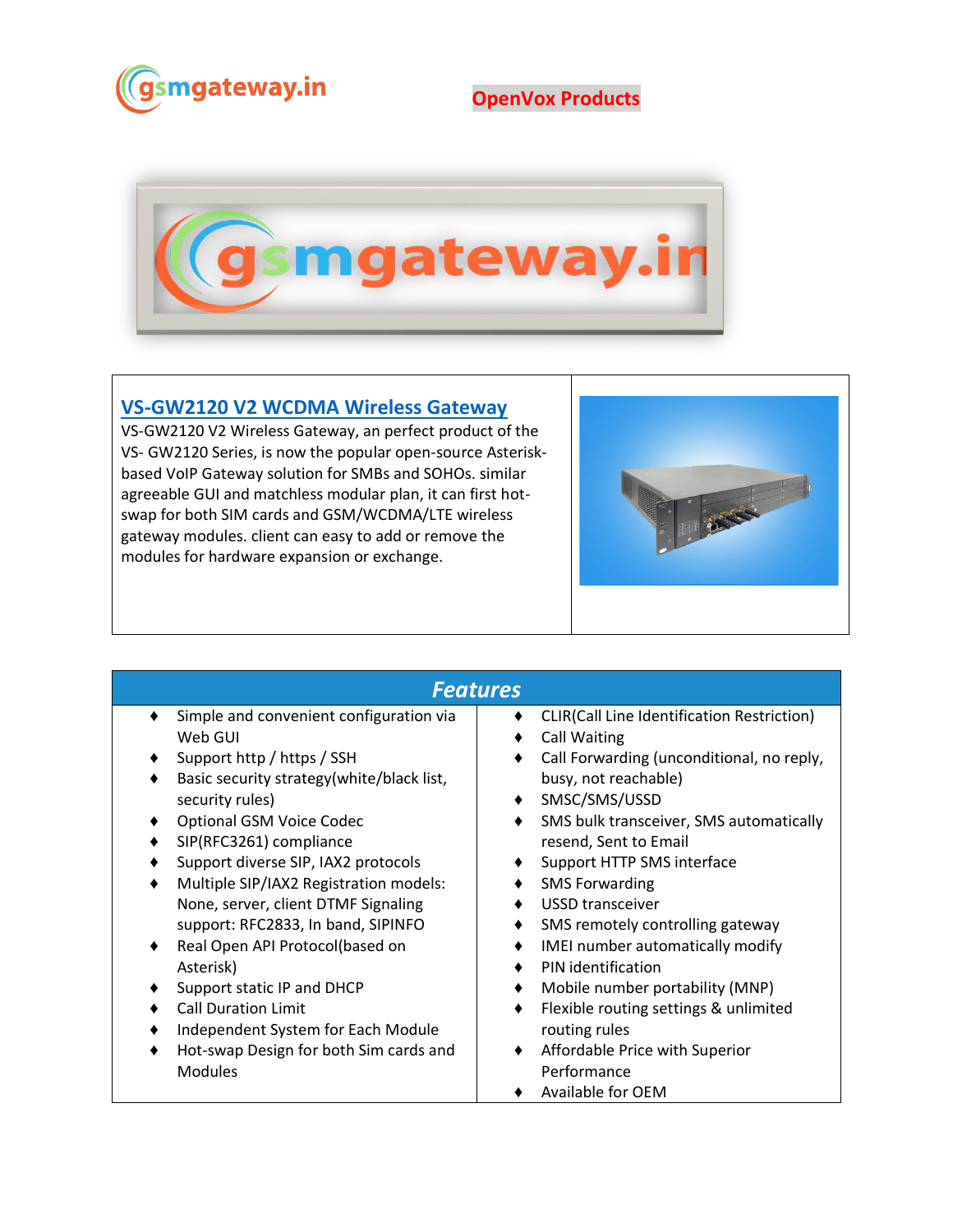

## **OpenVox Products**



#### **[VS-GW2120 V2 WCDMA Wireless Gateway](https://www.gsmgateway.in/openvox/VS-GW2120-V2-WCDMA-Wireless-Gateway.html)**

VS-GW2120 V2 Wireless Gateway, an perfect product of the VS- GW2120 Series, is now the popular open-source Asteriskbased VoIP Gateway solution for SMBs and SOHOs. similar agreeable GUI and matchless modular plan, it can first hotswap for both SIM cards and GSM/WCDMA/LTE wireless gateway modules. client can easy to add or remove the modules for hardware expansion or exchange.



### *Features*

- ♦ Simple and convenient configuration via Web GUI
- ♦ Support http / https / SSH
- ♦ Basic security strategy(white/black list, security rules)
- ♦ Optional GSM Voice Codec
- ♦ SIP(RFC3261) compliance
- ♦ Support diverse SIP, IAX2 protocols
- Multiple SIP/IAX2 Registration models: None, server, client DTMF Signaling support: RFC2833, In band, SIPINFO
- ♦ Real Open API Protocol(based on Asterisk)
- ♦ Support static IP and DHCP
- ♦ Call Duration Limit
- ♦ Independent System for Each Module
- Hot-swap Design for both Sim cards and Modules

#### ♦ CLIR(Call Line Identification Restriction)

- ♦ Call Waiting
- ♦ Call Forwarding (unconditional, no reply, busy, not reachable)
- ♦ SMSC/SMS/USSD
- ♦ SMS bulk transceiver, SMS automatically resend, Sent to Email
- ♦ Support HTTP SMS interface
- ♦ SMS Forwarding
- ♦ USSD transceiver
- ♦ SMS remotely controlling gateway
- ♦ IMEI number automatically modify
- ♦ PIN identification
- ♦ Mobile number portability (MNP)
- ♦ Flexible routing settings & unlimited routing rules
- ♦ Affordable Price with Superior Performance
- ♦ Available for OEM